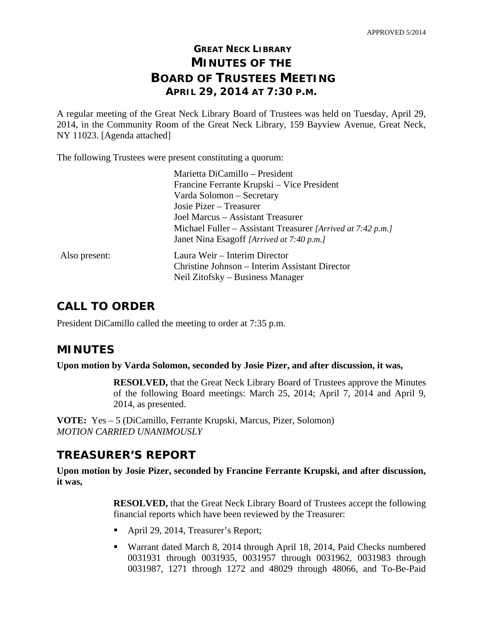# **GREAT NECK LIBRARY MINUTES OF THE BOARD OF TRUSTEES MEETING APRIL 29, 2014 AT 7:30 P.M.**

A regular meeting of the Great Neck Library Board of Trustees was held on Tuesday, April 29, 2014, in the Community Room of the Great Neck Library, 159 Bayview Avenue, Great Neck, NY 11023. [Agenda attached]

The following Trustees were present constituting a quorum:

|               | Marietta DiCamillo - President                              |
|---------------|-------------------------------------------------------------|
|               | Francine Ferrante Krupski – Vice President                  |
|               | Varda Solomon – Secretary                                   |
|               | Josie Pizer – Treasurer                                     |
|               | Joel Marcus – Assistant Treasurer                           |
|               | Michael Fuller – Assistant Treasurer [Arrived at 7:42 p.m.] |
|               | Janet Nina Esagoff [Arrived at 7:40 p.m.]                   |
| Also present: | Laura Weir – Interim Director                               |
|               | Christine Johnson – Interim Assistant Director              |
|               | Neil Zitofsky – Business Manager                            |
|               |                                                             |

## **CALL TO ORDER**

President DiCamillo called the meeting to order at 7:35 p.m.

## **MINUTES**

**Upon motion by Varda Solomon, seconded by Josie Pizer, and after discussion, it was,** 

**RESOLVED,** that the Great Neck Library Board of Trustees approve the Minutes of the following Board meetings: March 25, 2014; April 7, 2014 and April 9, 2014, as presented.

**VOTE:** Yes – 5 (DiCamillo, Ferrante Krupski, Marcus, Pizer, Solomon) *MOTION CARRIED UNANIMOUSLY* 

# **TREASURER'S REPORT**

**Upon motion by Josie Pizer, seconded by Francine Ferrante Krupski, and after discussion, it was,** 

> **RESOLVED,** that the Great Neck Library Board of Trustees accept the following financial reports which have been reviewed by the Treasurer:

- April 29, 2014, Treasurer's Report;
- Warrant dated March 8, 2014 through April 18, 2014, Paid Checks numbered 0031931 through 0031935, 0031957 through 0031962, 0031983 through 0031987, 1271 through 1272 and 48029 through 48066, and To-Be-Paid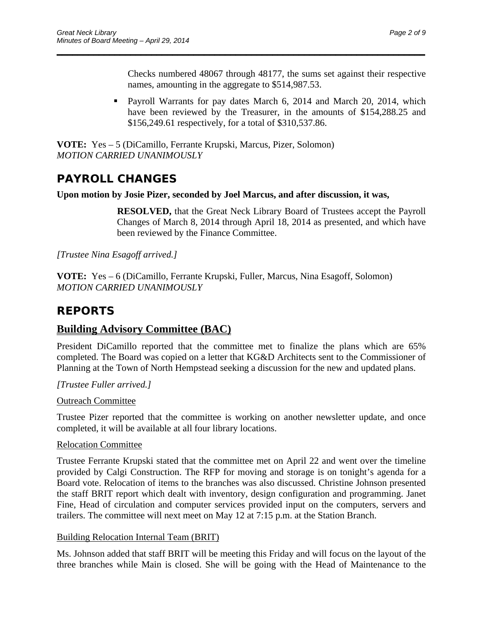Checks numbered 48067 through 48177, the sums set against their respective names, amounting in the aggregate to \$514,987.53.

 Payroll Warrants for pay dates March 6, 2014 and March 20, 2014, which have been reviewed by the Treasurer, in the amounts of \$154,288.25 and \$156,249.61 respectively, for a total of \$310,537.86.

\_\_\_\_\_\_\_\_\_\_\_\_\_\_\_\_\_\_\_\_\_\_\_\_\_\_\_\_\_\_\_\_\_\_\_\_\_\_\_\_\_\_\_\_\_\_\_\_\_\_\_\_\_\_\_\_\_\_\_\_\_\_\_\_\_\_\_\_\_\_

**VOTE:** Yes – 5 (DiCamillo, Ferrante Krupski, Marcus, Pizer, Solomon) *MOTION CARRIED UNANIMOUSLY* 

# **PAYROLL CHANGES**

#### **Upon motion by Josie Pizer, seconded by Joel Marcus, and after discussion, it was,**

**RESOLVED,** that the Great Neck Library Board of Trustees accept the Payroll Changes of March 8, 2014 through April 18, 2014 as presented, and which have been reviewed by the Finance Committee.

*[Trustee Nina Esagoff arrived.]* 

**VOTE:** Yes – 6 (DiCamillo, Ferrante Krupski, Fuller, Marcus, Nina Esagoff, Solomon) *MOTION CARRIED UNANIMOUSLY* 

# **REPORTS**

## **Building Advisory Committee (BAC)**

President DiCamillo reported that the committee met to finalize the plans which are 65% completed. The Board was copied on a letter that KG&D Architects sent to the Commissioner of Planning at the Town of North Hempstead seeking a discussion for the new and updated plans.

*[Trustee Fuller arrived.]* 

### Outreach Committee

Trustee Pizer reported that the committee is working on another newsletter update, and once completed, it will be available at all four library locations.

#### Relocation Committee

Trustee Ferrante Krupski stated that the committee met on April 22 and went over the timeline provided by Calgi Construction. The RFP for moving and storage is on tonight's agenda for a Board vote. Relocation of items to the branches was also discussed. Christine Johnson presented the staff BRIT report which dealt with inventory, design configuration and programming. Janet Fine, Head of circulation and computer services provided input on the computers, servers and trailers. The committee will next meet on May 12 at 7:15 p.m. at the Station Branch.

### Building Relocation Internal Team (BRIT)

Ms. Johnson added that staff BRIT will be meeting this Friday and will focus on the layout of the three branches while Main is closed. She will be going with the Head of Maintenance to the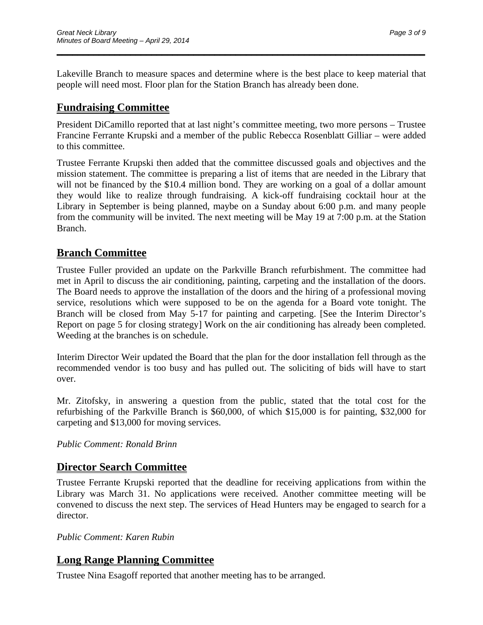Lakeville Branch to measure spaces and determine where is the best place to keep material that people will need most. Floor plan for the Station Branch has already been done.

\_\_\_\_\_\_\_\_\_\_\_\_\_\_\_\_\_\_\_\_\_\_\_\_\_\_\_\_\_\_\_\_\_\_\_\_\_\_\_\_\_\_\_\_\_\_\_\_\_\_\_\_\_\_\_\_\_\_\_\_\_\_\_\_\_\_\_\_\_\_

## **Fundraising Committee**

President DiCamillo reported that at last night's committee meeting, two more persons – Trustee Francine Ferrante Krupski and a member of the public Rebecca Rosenblatt Gilliar – were added to this committee.

Trustee Ferrante Krupski then added that the committee discussed goals and objectives and the mission statement. The committee is preparing a list of items that are needed in the Library that will not be financed by the \$10.4 million bond. They are working on a goal of a dollar amount they would like to realize through fundraising. A kick-off fundraising cocktail hour at the Library in September is being planned, maybe on a Sunday about 6:00 p.m. and many people from the community will be invited. The next meeting will be May 19 at 7:00 p.m. at the Station Branch.

## **Branch Committee**

Trustee Fuller provided an update on the Parkville Branch refurbishment. The committee had met in April to discuss the air conditioning, painting, carpeting and the installation of the doors. The Board needs to approve the installation of the doors and the hiring of a professional moving service, resolutions which were supposed to be on the agenda for a Board vote tonight. The Branch will be closed from May 5-17 for painting and carpeting. [See the Interim Director's Report on page 5 for closing strategy] Work on the air conditioning has already been completed. Weeding at the branches is on schedule.

Interim Director Weir updated the Board that the plan for the door installation fell through as the recommended vendor is too busy and has pulled out. The soliciting of bids will have to start over.

Mr. Zitofsky, in answering a question from the public, stated that the total cost for the refurbishing of the Parkville Branch is \$60,000, of which \$15,000 is for painting, \$32,000 for carpeting and \$13,000 for moving services.

### *Public Comment: Ronald Brinn*

### **Director Search Committee**

Trustee Ferrante Krupski reported that the deadline for receiving applications from within the Library was March 31. No applications were received. Another committee meeting will be convened to discuss the next step. The services of Head Hunters may be engaged to search for a director.

*Public Comment: Karen Rubin* 

## **Long Range Planning Committee**

Trustee Nina Esagoff reported that another meeting has to be arranged.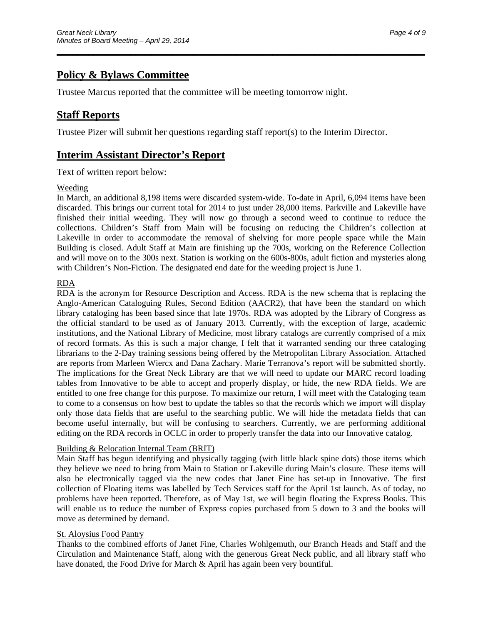# **Policy & Bylaws Committee**

Trustee Marcus reported that the committee will be meeting tomorrow night.

### **Staff Reports**

Trustee Pizer will submit her questions regarding staff report(s) to the Interim Director.

\_\_\_\_\_\_\_\_\_\_\_\_\_\_\_\_\_\_\_\_\_\_\_\_\_\_\_\_\_\_\_\_\_\_\_\_\_\_\_\_\_\_\_\_\_\_\_\_\_\_\_\_\_\_\_\_\_\_\_\_\_\_\_\_\_\_\_\_\_\_

### **Interim Assistant Director's Report**

Text of written report below:

#### Weeding

In March, an additional 8,198 items were discarded system-wide. To-date in April, 6,094 items have been discarded. This brings our current total for 2014 to just under 28,000 items. Parkville and Lakeville have finished their initial weeding. They will now go through a second weed to continue to reduce the collections. Children's Staff from Main will be focusing on reducing the Children's collection at Lakeville in order to accommodate the removal of shelving for more people space while the Main Building is closed. Adult Staff at Main are finishing up the 700s, working on the Reference Collection and will move on to the 300s next. Station is working on the 600s-800s, adult fiction and mysteries along with Children's Non-Fiction. The designated end date for the weeding project is June 1.

#### RDA

RDA is the acronym for Resource Description and Access. RDA is the new schema that is replacing the Anglo-American Cataloguing Rules, Second Edition (AACR2), that have been the standard on which library cataloging has been based since that late 1970s. RDA was adopted by the Library of Congress as the official standard to be used as of January 2013. Currently, with the exception of large, academic institutions, and the National Library of Medicine, most library catalogs are currently comprised of a mix of record formats. As this is such a major change, I felt that it warranted sending our three cataloging librarians to the 2-Day training sessions being offered by the Metropolitan Library Association. Attached are reports from Marleen Wiercx and Dana Zachary. Marie Terranova's report will be submitted shortly. The implications for the Great Neck Library are that we will need to update our MARC record loading tables from Innovative to be able to accept and properly display, or hide, the new RDA fields. We are entitled to one free change for this purpose. To maximize our return, I will meet with the Cataloging team to come to a consensus on how best to update the tables so that the records which we import will display only those data fields that are useful to the searching public. We will hide the metadata fields that can become useful internally, but will be confusing to searchers. Currently, we are performing additional editing on the RDA records in OCLC in order to properly transfer the data into our Innovative catalog.

#### Building & Relocation Internal Team (BRIT)

Main Staff has begun identifying and physically tagging (with little black spine dots) those items which they believe we need to bring from Main to Station or Lakeville during Main's closure. These items will also be electronically tagged via the new codes that Janet Fine has set-up in Innovative. The first collection of Floating items was labelled by Tech Services staff for the April 1st launch. As of today, no problems have been reported. Therefore, as of May 1st, we will begin floating the Express Books. This will enable us to reduce the number of Express copies purchased from 5 down to 3 and the books will move as determined by demand.

#### St. Aloysius Food Pantry

Thanks to the combined efforts of Janet Fine, Charles Wohlgemuth, our Branch Heads and Staff and the Circulation and Maintenance Staff, along with the generous Great Neck public, and all library staff who have donated, the Food Drive for March & April has again been very bountiful.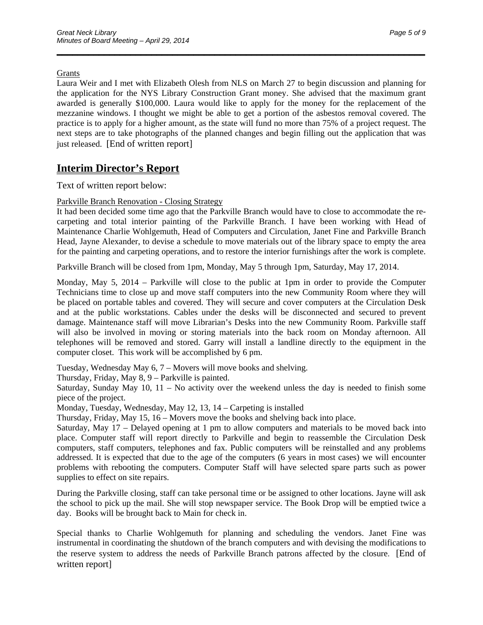#### Grants

Laura Weir and I met with Elizabeth Olesh from NLS on March 27 to begin discussion and planning for the application for the NYS Library Construction Grant money. She advised that the maximum grant awarded is generally \$100,000. Laura would like to apply for the money for the replacement of the mezzanine windows. I thought we might be able to get a portion of the asbestos removal covered. The practice is to apply for a higher amount, as the state will fund no more than 75% of a project request. The next steps are to take photographs of the planned changes and begin filling out the application that was just released. [End of written report]

\_\_\_\_\_\_\_\_\_\_\_\_\_\_\_\_\_\_\_\_\_\_\_\_\_\_\_\_\_\_\_\_\_\_\_\_\_\_\_\_\_\_\_\_\_\_\_\_\_\_\_\_\_\_\_\_\_\_\_\_\_\_\_\_\_\_\_\_\_\_

## **Interim Director's Report**

Text of written report below:

#### Parkville Branch Renovation - Closing Strategy

It had been decided some time ago that the Parkville Branch would have to close to accommodate the recarpeting and total interior painting of the Parkville Branch. I have been working with Head of Maintenance Charlie Wohlgemuth, Head of Computers and Circulation, Janet Fine and Parkville Branch Head, Jayne Alexander, to devise a schedule to move materials out of the library space to empty the area for the painting and carpeting operations, and to restore the interior furnishings after the work is complete.

Parkville Branch will be closed from 1pm, Monday, May 5 through 1pm, Saturday, May 17, 2014.

Monday, May 5, 2014 – Parkville will close to the public at 1pm in order to provide the Computer Technicians time to close up and move staff computers into the new Community Room where they will be placed on portable tables and covered. They will secure and cover computers at the Circulation Desk and at the public workstations. Cables under the desks will be disconnected and secured to prevent damage. Maintenance staff will move Librarian's Desks into the new Community Room. Parkville staff will also be involved in moving or storing materials into the back room on Monday afternoon. All telephones will be removed and stored. Garry will install a landline directly to the equipment in the computer closet. This work will be accomplished by 6 pm.

Tuesday, Wednesday May 6, 7 – Movers will move books and shelving.

Thursday, Friday, May 8, 9 – Parkville is painted.

Saturday, Sunday May 10, 11 – No activity over the weekend unless the day is needed to finish some piece of the project.

Monday, Tuesday, Wednesday, May 12, 13, 14 – Carpeting is installed

Thursday, Friday, May 15, 16 – Movers move the books and shelving back into place.

Saturday, May 17 – Delayed opening at 1 pm to allow computers and materials to be moved back into place. Computer staff will report directly to Parkville and begin to reassemble the Circulation Desk computers, staff computers, telephones and fax. Public computers will be reinstalled and any problems addressed. It is expected that due to the age of the computers (6 years in most cases) we will encounter problems with rebooting the computers. Computer Staff will have selected spare parts such as power supplies to effect on site repairs.

During the Parkville closing, staff can take personal time or be assigned to other locations. Jayne will ask the school to pick up the mail. She will stop newspaper service. The Book Drop will be emptied twice a day. Books will be brought back to Main for check in.

Special thanks to Charlie Wohlgemuth for planning and scheduling the vendors. Janet Fine was instrumental in coordinating the shutdown of the branch computers and with devising the modifications to the reserve system to address the needs of Parkville Branch patrons affected by the closure. [End of written report]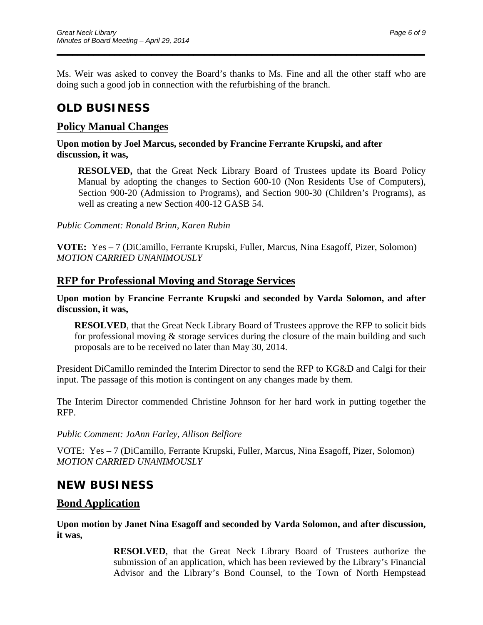Ms. Weir was asked to convey the Board's thanks to Ms. Fine and all the other staff who are doing such a good job in connection with the refurbishing of the branch.

\_\_\_\_\_\_\_\_\_\_\_\_\_\_\_\_\_\_\_\_\_\_\_\_\_\_\_\_\_\_\_\_\_\_\_\_\_\_\_\_\_\_\_\_\_\_\_\_\_\_\_\_\_\_\_\_\_\_\_\_\_\_\_\_\_\_\_\_\_\_

# **OLD BUSINESS**

### **Policy Manual Changes**

#### **Upon motion by Joel Marcus, seconded by Francine Ferrante Krupski, and after discussion, it was,**

**RESOLVED,** that the Great Neck Library Board of Trustees update its Board Policy Manual by adopting the changes to Section 600-10 (Non Residents Use of Computers), Section 900-20 (Admission to Programs), and Section 900-30 (Children's Programs), as well as creating a new Section 400-12 GASB 54.

*Public Comment: Ronald Brinn, Karen Rubin* 

**VOTE:** Yes – 7 (DiCamillo, Ferrante Krupski, Fuller, Marcus, Nina Esagoff, Pizer, Solomon) *MOTION CARRIED UNANIMOUSLY* 

### **RFP for Professional Moving and Storage Services**

#### **Upon motion by Francine Ferrante Krupski and seconded by Varda Solomon, and after discussion, it was,**

**RESOLVED**, that the Great Neck Library Board of Trustees approve the RFP to solicit bids for professional moving & storage services during the closure of the main building and such proposals are to be received no later than May 30, 2014.

President DiCamillo reminded the Interim Director to send the RFP to KG&D and Calgi for their input. The passage of this motion is contingent on any changes made by them.

The Interim Director commended Christine Johnson for her hard work in putting together the RFP.

*Public Comment: JoAnn Farley, Allison Belfiore* 

VOTE: Yes – 7 (DiCamillo, Ferrante Krupski, Fuller, Marcus, Nina Esagoff, Pizer, Solomon) *MOTION CARRIED UNANIMOUSLY* 

# **NEW BUSINESS**

### **Bond Application**

**Upon motion by Janet Nina Esagoff and seconded by Varda Solomon, and after discussion, it was,** 

> **RESOLVED**, that the Great Neck Library Board of Trustees authorize the submission of an application, which has been reviewed by the Library's Financial Advisor and the Library's Bond Counsel, to the Town of North Hempstead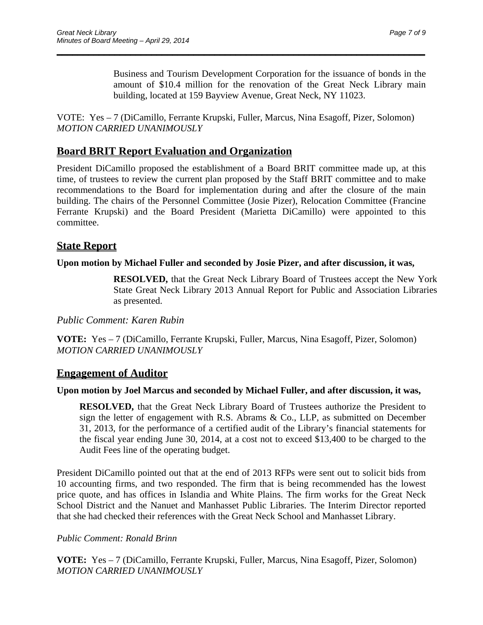Business and Tourism Development Corporation for the issuance of bonds in the amount of \$10.4 million for the renovation of the Great Neck Library main building, located at 159 Bayview Avenue, Great Neck, NY 11023.

VOTE: Yes – 7 (DiCamillo, Ferrante Krupski, Fuller, Marcus, Nina Esagoff, Pizer, Solomon) *MOTION CARRIED UNANIMOUSLY* 

\_\_\_\_\_\_\_\_\_\_\_\_\_\_\_\_\_\_\_\_\_\_\_\_\_\_\_\_\_\_\_\_\_\_\_\_\_\_\_\_\_\_\_\_\_\_\_\_\_\_\_\_\_\_\_\_\_\_\_\_\_\_\_\_\_\_\_\_\_\_

## **Board BRIT Report Evaluation and Organization**

President DiCamillo proposed the establishment of a Board BRIT committee made up, at this time, of trustees to review the current plan proposed by the Staff BRIT committee and to make recommendations to the Board for implementation during and after the closure of the main building. The chairs of the Personnel Committee (Josie Pizer), Relocation Committee (Francine Ferrante Krupski) and the Board President (Marietta DiCamillo) were appointed to this committee.

### **State Report**

#### **Upon motion by Michael Fuller and seconded by Josie Pizer, and after discussion, it was,**

**RESOLVED,** that the Great Neck Library Board of Trustees accept the New York State Great Neck Library 2013 Annual Report for Public and Association Libraries as presented.

*Public Comment: Karen Rubin* 

**VOTE:** Yes – 7 (DiCamillo, Ferrante Krupski, Fuller, Marcus, Nina Esagoff, Pizer, Solomon) *MOTION CARRIED UNANIMOUSLY* 

#### **Engagement of Auditor**

#### **Upon motion by Joel Marcus and seconded by Michael Fuller, and after discussion, it was,**

**RESOLVED,** that the Great Neck Library Board of Trustees authorize the President to sign the letter of engagement with R.S. Abrams & Co., LLP, as submitted on December 31, 2013, for the performance of a certified audit of the Library's financial statements for the fiscal year ending June 30, 2014, at a cost not to exceed \$13,400 to be charged to the Audit Fees line of the operating budget.

President DiCamillo pointed out that at the end of 2013 RFPs were sent out to solicit bids from 10 accounting firms, and two responded. The firm that is being recommended has the lowest price quote, and has offices in Islandia and White Plains. The firm works for the Great Neck School District and the Nanuet and Manhasset Public Libraries. The Interim Director reported that she had checked their references with the Great Neck School and Manhasset Library.

#### *Public Comment: Ronald Brinn*

**VOTE:** Yes – 7 (DiCamillo, Ferrante Krupski, Fuller, Marcus, Nina Esagoff, Pizer, Solomon) *MOTION CARRIED UNANIMOUSLY*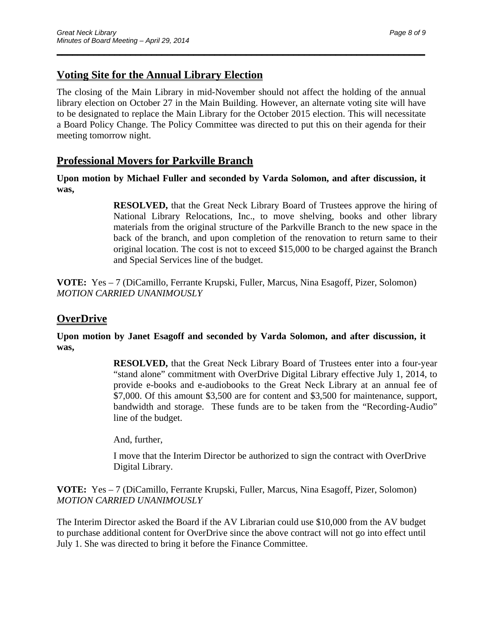# **Voting Site for the Annual Library Election**

The closing of the Main Library in mid-November should not affect the holding of the annual library election on October 27 in the Main Building. However, an alternate voting site will have to be designated to replace the Main Library for the October 2015 election. This will necessitate a Board Policy Change. The Policy Committee was directed to put this on their agenda for their meeting tomorrow night.

\_\_\_\_\_\_\_\_\_\_\_\_\_\_\_\_\_\_\_\_\_\_\_\_\_\_\_\_\_\_\_\_\_\_\_\_\_\_\_\_\_\_\_\_\_\_\_\_\_\_\_\_\_\_\_\_\_\_\_\_\_\_\_\_\_\_\_\_\_\_

### **Professional Movers for Parkville Branch**

**Upon motion by Michael Fuller and seconded by Varda Solomon, and after discussion, it was,** 

> **RESOLVED,** that the Great Neck Library Board of Trustees approve the hiring of National Library Relocations, Inc., to move shelving, books and other library materials from the original structure of the Parkville Branch to the new space in the back of the branch, and upon completion of the renovation to return same to their original location. The cost is not to exceed \$15,000 to be charged against the Branch and Special Services line of the budget.

**VOTE:** Yes – 7 (DiCamillo, Ferrante Krupski, Fuller, Marcus, Nina Esagoff, Pizer, Solomon) *MOTION CARRIED UNANIMOUSLY* 

## **OverDrive**

**Upon motion by Janet Esagoff and seconded by Varda Solomon, and after discussion, it was,** 

> **RESOLVED,** that the Great Neck Library Board of Trustees enter into a four-year "stand alone" commitment with OverDrive Digital Library effective July 1, 2014, to provide e-books and e-audiobooks to the Great Neck Library at an annual fee of \$7,000. Of this amount \$3,500 are for content and \$3,500 for maintenance, support, bandwidth and storage. These funds are to be taken from the "Recording-Audio" line of the budget.

And, further,

I move that the Interim Director be authorized to sign the contract with OverDrive Digital Library.

**VOTE:** Yes – 7 (DiCamillo, Ferrante Krupski, Fuller, Marcus, Nina Esagoff, Pizer, Solomon) *MOTION CARRIED UNANIMOUSLY* 

The Interim Director asked the Board if the AV Librarian could use \$10,000 from the AV budget to purchase additional content for OverDrive since the above contract will not go into effect until July 1. She was directed to bring it before the Finance Committee.